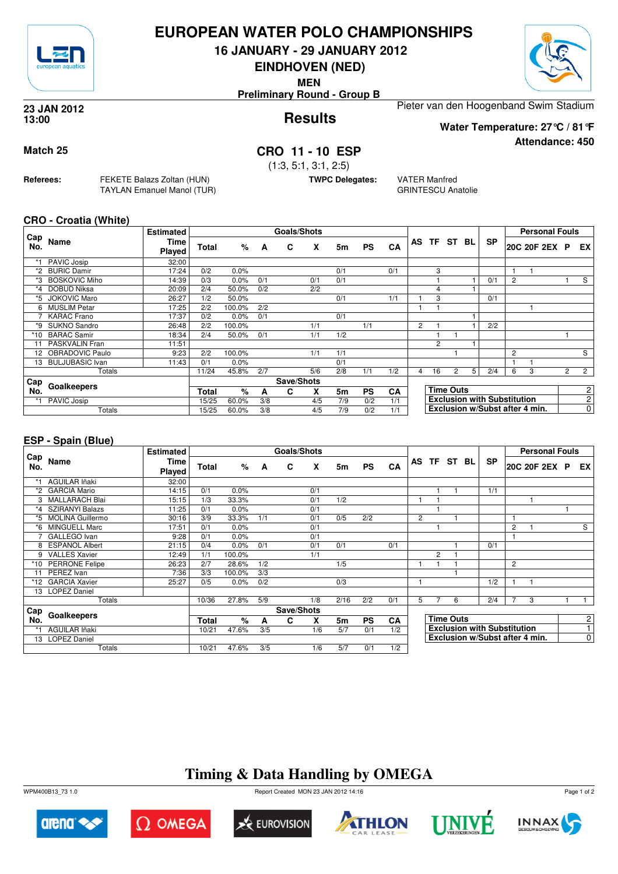

## **EUROPEAN WATER POLO CHAMPIONSHIPS**

**16 JANUARY - 29 JANUARY 2012**

**EINDHOVEN (NED)**

**MEN**

**Preliminary Round - Group B**

#### **Results 23 JAN 2012 13:00**

Pieter van den Hoogenband Swim Stadium

**Water Temperature: 27°C / 81°F**

**Attendance: 450**

## **Match 25 CRO 11 - 10 ESP**

(1:3, 5:1, 3:1, 2:5)

**TWPC Delegates:** VATER Manfred

GRINTESCU Anatolie

**CRO - Croatia (White)**

**Referees:** FEKETE Balazs Zoltan (HUN)

TAYLAN Emanuel Manol (TUR)

|            |                      | <b>Estimated</b>      |              |         |     | <b>Goals/Shots</b> |     |     |           |           |                |                |                  |                |                                    |                | <b>Personal Fouls</b> |                |                |
|------------|----------------------|-----------------------|--------------|---------|-----|--------------------|-----|-----|-----------|-----------|----------------|----------------|------------------|----------------|------------------------------------|----------------|-----------------------|----------------|----------------|
| Cap<br>No. | Name                 | <b>Time</b><br>Played | <b>Total</b> | %       | A   | C                  | x   | 5m  | <b>PS</b> | CA        |                |                | AS TF ST         | BL             | <b>SP</b>                          |                | 20C 20F 2EX P         |                | EX I           |
|            | PAVIC Josip          | 32:00                 |              |         |     |                    |     |     |           |           |                |                |                  |                |                                    |                |                       |                |                |
| *2         | <b>BURIC Damir</b>   | 17:24                 | 0/2          | 0.0%    |     |                    |     | 0/1 |           | 0/1       |                | 3              |                  |                |                                    |                |                       |                |                |
|            | <b>BOSKOVIC Miho</b> | 14:39                 | 0/3          | 0.0%    | 0/1 |                    | 0/1 | 0/1 |           |           |                |                |                  |                | 0/1                                | $\overline{c}$ |                       |                | S              |
| *4         | <b>DOBUD Niksa</b>   | 20:09                 | 2/4          | 50.0%   | 0/2 |                    | 2/2 |     |           |           |                | 4              |                  |                |                                    |                |                       |                |                |
| *5         | <b>JOKOVIC Maro</b>  | 26:27                 | 1/2          | 50.0%   |     |                    |     | 0/1 |           | 1/1       |                | 3              |                  |                | 0/1                                |                |                       |                |                |
| 6.         | <b>MUSLIM Petar</b>  | 17:25                 | 2/2          | 100.0%  | 2/2 |                    |     |     |           |           |                |                |                  |                |                                    |                |                       |                |                |
|            | <b>KARAC Frano</b>   | 17:37                 | 0/2          | $0.0\%$ | 0/1 |                    |     | 0/1 |           |           |                |                |                  |                |                                    |                |                       |                |                |
| *9         | SUKNO Sandro         | 26:48                 | 2/2          | 100.0%  |     |                    | 1/1 |     | 1/1       |           | $\overline{2}$ |                |                  |                | 2/2                                |                |                       |                |                |
| *10        | <b>BARAC Samir</b>   | 18:34                 | 2/4          | 50.0%   | 0/1 |                    | 1/1 | 1/2 |           |           |                |                |                  |                |                                    |                |                       |                |                |
| 11         | PASKVALIN Fran       | 11:51                 |              |         |     |                    |     |     |           |           |                | $\overline{2}$ |                  |                |                                    |                |                       |                |                |
| 12         | OBRADOVIC Paulo      | 9:23                  | 2/2          | 100.0%  |     |                    | 1/1 | 1/1 |           |           |                |                |                  |                |                                    | $\overline{c}$ |                       |                | S              |
|            | 13 BULJUBASIC Ivan   | 11:43                 | 0/1          | 0.0%    |     |                    |     | 0/1 |           |           |                |                |                  |                |                                    |                |                       |                |                |
|            | Totals               |                       | 11/24        | 45.8%   | 2/7 |                    | 5/6 | 2/8 | 1/1       | 1/2       | 4              | 16             | $\overline{2}$   | 5 <sup>1</sup> | 2/4                                | 6              | 3                     | $\overline{2}$ | $\overline{2}$ |
| Cap        |                      |                       |              |         |     | Save/Shots         |     |     |           |           |                |                |                  |                |                                    |                |                       |                |                |
| No.        | Goalkeepers          |                       | <b>Total</b> | %       | A   | C                  | x   | 5m  | <b>PS</b> | <b>CA</b> |                |                | <b>Time Outs</b> |                |                                    |                |                       |                | $\overline{2}$ |
|            | PAVIC Josip          |                       | 15/25        | 60.0%   | 3/8 |                    | 4/5 | 7/9 | 0/2       | 1/1       |                |                |                  |                | <b>Exclusion with Substitution</b> |                |                       |                | $\overline{2}$ |
|            | Totals               |                       | 15/25        | 60.0%   | 3/8 |                    | 4/5 | 7/9 | 0/2       | 1/1       |                |                |                  |                | Exclusion w/Subst after 4 min.     |                |                       |                | 0 <sup>1</sup> |

### **ESP - Spain (Blue)**

|            |                         | <b>Estimated</b> |       |         |     | Goals/Shots |     |      |           |           |                |                |                  |                                    |   | <b>Personal Fouls</b> |  |                |
|------------|-------------------------|------------------|-------|---------|-----|-------------|-----|------|-----------|-----------|----------------|----------------|------------------|------------------------------------|---|-----------------------|--|----------------|
| Cap<br>No. | Name                    | Time<br>Played   | Total | %       | A   | C           | X   | 5m   | <b>PS</b> | CA        |                |                | AS TF ST BL      | <b>SP</b>                          |   | 20C 20F 2EX P         |  | EX I           |
| *1         | AGUILAR Iñaki           | 32:00            |       |         |     |             |     |      |           |           |                |                |                  |                                    |   |                       |  |                |
| *2         | <b>GARCIA Mario</b>     | 14:15            | 0/1   | 0.0%    |     |             | 0/1 |      |           |           |                |                |                  | 1/1                                |   |                       |  |                |
| 3          | <b>MALLARACH Blai</b>   | 15:15            | 1/3   | 33.3%   |     |             | 0/1 | 1/2  |           |           |                |                |                  |                                    |   |                       |  |                |
| *4         | <b>SZIRANYI Balazs</b>  | 11:25            | 0/1   | $0.0\%$ |     |             | 0/1 |      |           |           |                |                |                  |                                    |   |                       |  |                |
| *5         | <b>MOLINA Guillermo</b> | 30:16            | 3/9   | 33.3%   | 1/1 |             | 0/1 | 0/5  | 2/2       |           | $\overline{2}$ |                |                  |                                    | 1 |                       |  |                |
| *6         | <b>MINGUELL Marc</b>    | 17:51            | 0/1   | 0.0%    |     |             | 0/1 |      |           |           |                |                |                  |                                    | 2 |                       |  | S              |
|            | GALLEGO Ivan            | 9:28             | 0/1   | 0.0%    |     |             | 0/1 |      |           |           |                |                |                  |                                    | 1 |                       |  |                |
| 8          | ESPAÑOL Albert          | 21:15            | 0/4   | 0.0%    | 0/1 |             | 0/1 | 0/1  |           | 0/1       |                |                |                  | 0/1                                |   |                       |  |                |
| 9          | <b>VALLES Xavier</b>    | 12:49            | 1/1   | 100.0%  |     |             | 1/1 |      |           |           |                | $\overline{2}$ |                  |                                    |   |                       |  |                |
|            | *10 PERRONE Felipe      | 26:23            | 2/7   | 28.6%   | 1/2 |             |     | 1/5  |           |           |                |                |                  |                                    | 2 |                       |  |                |
| 11         | PEREZ Ivan              | 7:36             | 3/3   | 100.0%  | 3/3 |             |     |      |           |           |                |                |                  |                                    |   |                       |  |                |
|            | *12 GARCIA Xavier       | 25:27            | 0/5   | 0.0%    | 0/2 |             |     | 0/3  |           |           |                |                |                  | 1/2                                | 1 |                       |  |                |
| 13         | <b>LOPEZ Daniel</b>     |                  |       |         |     |             |     |      |           |           |                |                |                  |                                    |   |                       |  |                |
|            | Totals                  |                  | 10/36 | 27.8%   | 5/9 |             | 1/8 | 2/16 | 2/2       | 0/1       | 5              |                | 6                | 2/4                                | 7 | 3                     |  |                |
| Cap        |                         |                  |       |         |     | Save/Shots  |     |      |           |           |                |                |                  |                                    |   |                       |  |                |
| No.        | Goalkeepers             |                  | Total | %       | A   | C           | x   | 5m   | <b>PS</b> | <b>CA</b> |                |                | <b>Time Outs</b> |                                    |   |                       |  | $\overline{c}$ |
|            | <b>AGUILAR Iñaki</b>    |                  | 10/21 | 47.6%   | 3/5 |             | 1/6 | 5/7  | 0/1       | 1/2       |                |                |                  | <b>Exclusion with Substitution</b> |   |                       |  | 1              |
|            | 13 LOPEZ Daniel         |                  |       |         |     |             |     |      |           |           |                |                |                  | Exclusion w/Subst after 4 min.     |   |                       |  | $\overline{0}$ |
|            | Totals                  |                  | 10/21 | 47.6%   | 3/5 |             | 1/6 | 5/7  | 0/1       | 1/2       |                |                |                  |                                    |   |                       |  |                |

# **Timing & Data Handling by OMEGA**















Page 1 of 2